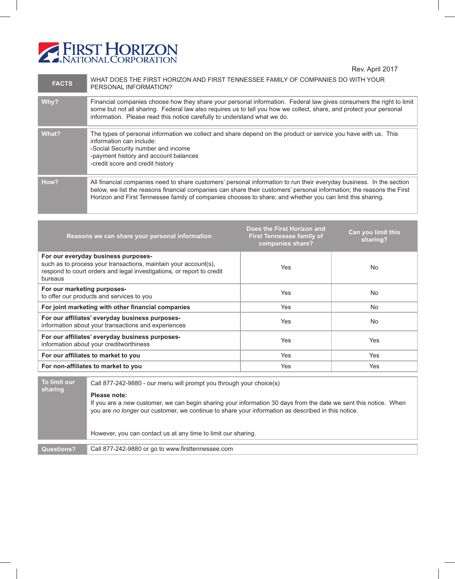

Rev. April 2017

| <b>FACTS</b> | WHAT DOES THE FIRST HORIZON AND FIRST TENNESSEE FAMILY OF COMPANIES DO WITH YOUR<br>PERSONAL INFORMATION?                                                                                                                                                                                                                                                  |
|--------------|------------------------------------------------------------------------------------------------------------------------------------------------------------------------------------------------------------------------------------------------------------------------------------------------------------------------------------------------------------|
| Why?         | Financial companies choose how they share your personal information. Federal law gives consumers the right to limit<br>some but not all sharing. Federal law also requires us to tell you how we collect, share, and protect your personal<br>information. Please read this notice carefully to understand what we do.                                     |
| What?        | The types of personal information we collect and share depend on the product or service you have with us. This<br>information can include:<br>-Social Security number and income<br>-payment history and account balances<br>-credit score and credit history                                                                                              |
| How?         | All financial companies need to share customers' personal information to run their everyday business. In the section<br>below, we list the reasons financial companies can share their customers' personal information; the reasons the First<br>Horizon and First Tennessee family of companies chooses to share; and whether you can limit this sharing. |

| Reasons we can share your personal information                                                                                                                                             | Does the First Horizon and<br><b>First Tennessee family of</b><br>companies share? | Can you limit this<br>sharing? |
|--------------------------------------------------------------------------------------------------------------------------------------------------------------------------------------------|------------------------------------------------------------------------------------|--------------------------------|
| For our everyday business purposes-<br>such as to process your transactions, maintain your account(s),<br>respond to court orders and legal investigations, or report to credit<br>bureaus | Yes                                                                                | No.                            |
| For our marketing purposes-<br>to offer our products and services to you                                                                                                                   | <b>Yes</b>                                                                         | No                             |
| For joint marketing with other financial companies                                                                                                                                         | <b>Yes</b>                                                                         | <b>No</b>                      |
| For our affiliates' everyday business purposes-<br>information about your transactions and experiences                                                                                     | <b>Yes</b>                                                                         | No                             |
| For our affiliates' everyday business purposes-<br>information about your creditworthiness                                                                                                 | <b>Yes</b>                                                                         | <b>Yes</b>                     |
| For our affiliates to market to you                                                                                                                                                        | <b>Yes</b>                                                                         | <b>Yes</b>                     |
| For non-affiliates to market to you                                                                                                                                                        | Yes                                                                                | Yes                            |

**To limit our sharing** Call 877-242-9880 - our menu will prompt you through your choice(s) **Please note:** If you are a *new* customer, we can begin sharing your information 30 days from the date we sent this notice. When you are *no longer* our customer, we continue to share your information as described in this notice. However, you can contact us at any time to limit our sharing. **Questions?** Call 877-242-9880 or go to www.firsttennessee.com